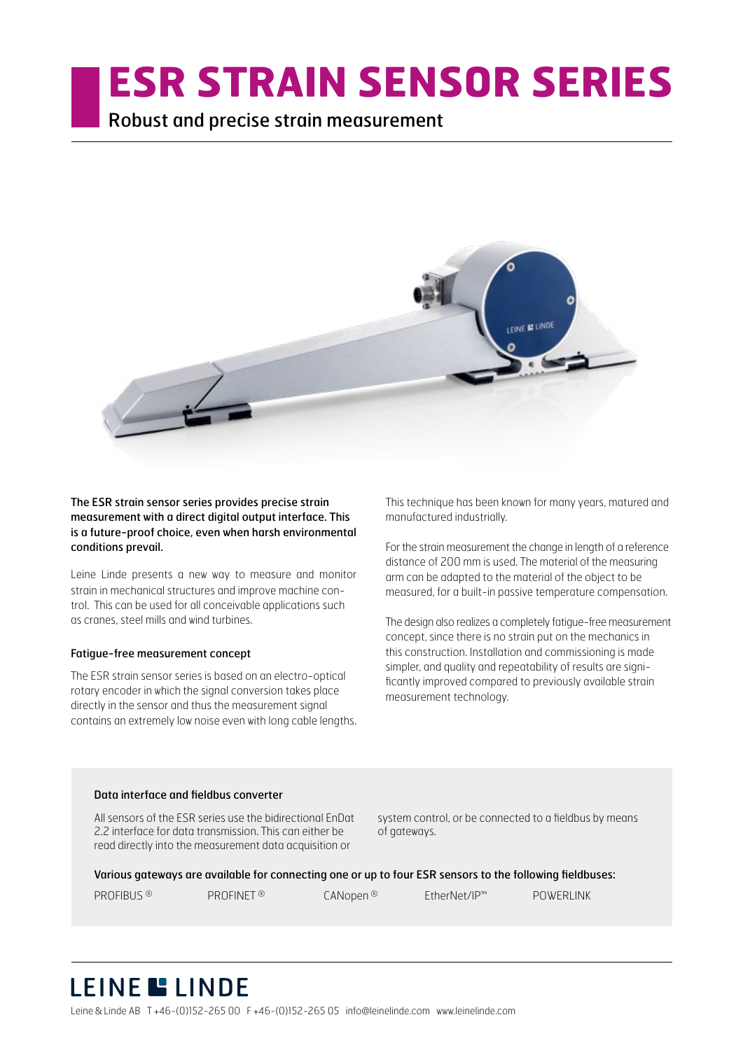# **ESR STRAIN SENSOR SERIES**

Robust and precise strain measurement



The ESR strain sensor series provides precise strain measurement with a direct digital output interface. This is a future-proof choice, even when harsh environmental conditions prevail.

Leine Linde presents a new way to measure and monitor strain in mechanical structures and improve machine control. This can be used for all conceivable applications such as cranes, steel mills and wind turbines.

#### Fatigue-free measurement concept

The ESR strain sensor series is based on an electro-optical rotary encoder in which the signal conversion takes place directly in the sensor and thus the measurement signal contains an extremely low noise even with long cable lengths.

This technique has been known for many years, matured and manufactured industrially.

For the strain measurement the change in length of a reference distance of 200 mm is used. The material of the measuring arm can be adapted to the material of the object to be measured, for a built-in passive temperature compensation.

The design also realizes a completely fatigue-free measurement concept, since there is no strain put on the mechanics in this construction. Installation and commissioning is made simpler, and quality and repeatability of results are significantly improved compared to previously available strain measurement technology.

#### Data interface and fieldbus converter

All sensors of the ESR series use the bidirectional EnDat 2.2 interface for data transmission. This can either be read directly into the measurement data acquisition or

system control, or be connected to a fieldbus by means of gateways.

Various gateways are available for connecting one or up to four ESR sensors to the following fieldbuses:

| PROFIBUS <sup>®</sup> | PROFINET <sup>®</sup> | CANopen® | EtherNet/IP™ | POWERLINK |
|-----------------------|-----------------------|----------|--------------|-----------|
|-----------------------|-----------------------|----------|--------------|-----------|

# LEINE LINDE

Leine&Linde AB T +46-(0)152-265 00 F +46-(0)152-265 05 info@leinelinde.com www.leinelinde.com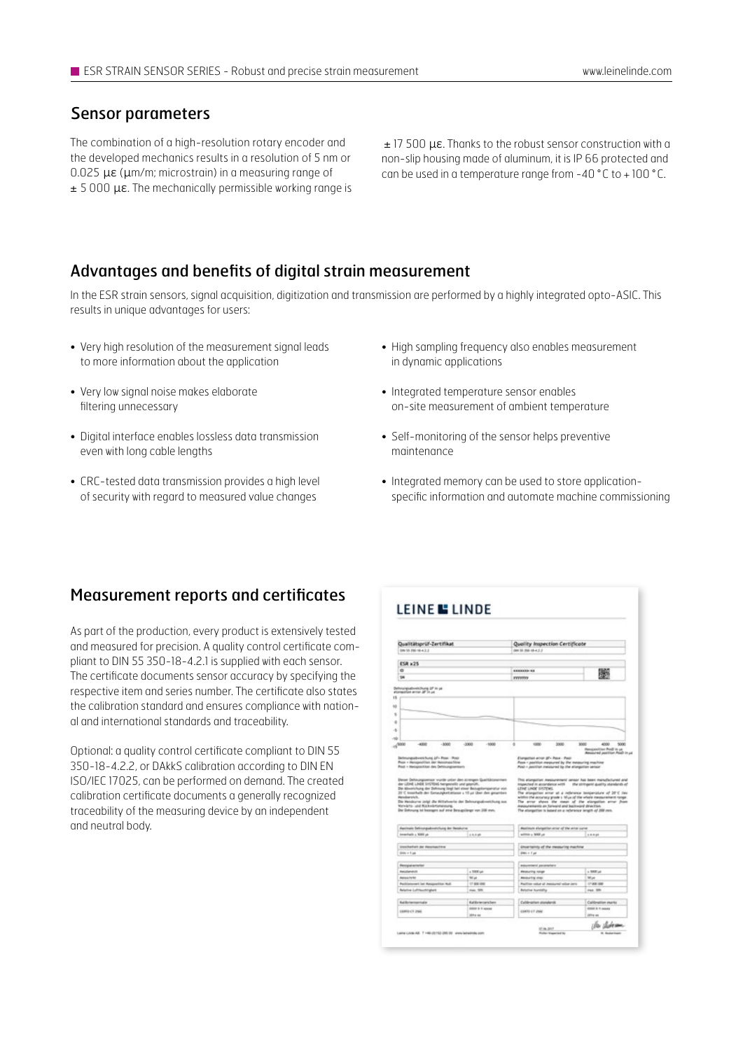#### Sensor parameters

The combination of a high-resolution rotary encoder and the developed mechanics results in a resolution of 5 nm or 0.025 µɛ (µm/m; microstrain) in a measuring range of ± 5 000 µɛ. The mechanically permissible working range is

± 17 500 µɛ. Thanks to the robust sensor construction with a non-slip housing made of aluminum, it is IP 66 protected and can be used in a temperature range from -40 ° C to + 100 ° C.

#### Advantages and benefits of digital strain measurement

In the ESR strain sensors, signal acquisition, digitization and transmission are performed by a highly integrated opto-ASIC. This results in unique advantages for users:

- Very high resolution of the measurement signal leads to more information about the application
- Very low signal noise makes elaborate filtering unnecessary
- Digital interface enables lossless data transmission even with long cable lengths
- CRC-tested data transmission provides a high level of security with regard to measured value changes
- High sampling frequency also enables measurement in dynamic applications
- Integrated temperature sensor enables on-site measurement of ambient temperature
- Self-monitoring of the sensor helps preventive maintenance
- Integrated memory can be used to store applicationspecific information and automate machine commissioning

#### Measurement reports and certificates

As part of the production, every product is extensively tested and measured for precision. A quality control certificate compliant to DIN 55 350-18-4.2.1 is supplied with each sensor. The certificate documents sensor accuracy by specifying the respective item and series number. The certificate also states the calibration standard and ensures compliance with national and international standards and traceability.

Optional: a quality control certificate compliant to DIN 55 350-18-4.2.2, or DAkkS calibration according to DIN EN ISO/IEC 17025, can be performed on demand. The created calibration certificate documents a generally recognized traceability of the measuring device by an independent and neutral body.

| Qualitätsprüf-Zertifikat<br>58 55 FM-1643.2                                                                                                                                                                                                                                                                                                                                                                                                                                                                                                                                                                       |                            | Quality Impection Certificate<br>(ex St. Hd-18-4.2.2)                                                                                                                                                                                                                                                                                                                                                                                                                                                                                                                                                                                       |                                                                                       |  |
|-------------------------------------------------------------------------------------------------------------------------------------------------------------------------------------------------------------------------------------------------------------------------------------------------------------------------------------------------------------------------------------------------------------------------------------------------------------------------------------------------------------------------------------------------------------------------------------------------------------------|----------------------------|---------------------------------------------------------------------------------------------------------------------------------------------------------------------------------------------------------------------------------------------------------------------------------------------------------------------------------------------------------------------------------------------------------------------------------------------------------------------------------------------------------------------------------------------------------------------------------------------------------------------------------------------|---------------------------------------------------------------------------------------|--|
|                                                                                                                                                                                                                                                                                                                                                                                                                                                                                                                                                                                                                   |                            |                                                                                                                                                                                                                                                                                                                                                                                                                                                                                                                                                                                                                                             |                                                                                       |  |
| <b>ESR x25</b>                                                                                                                                                                                                                                                                                                                                                                                                                                                                                                                                                                                                    |                            |                                                                                                                                                                                                                                                                                                                                                                                                                                                                                                                                                                                                                                             |                                                                                       |  |
| ۰                                                                                                                                                                                                                                                                                                                                                                                                                                                                                                                                                                                                                 |                            | <b>KANAKAR KA</b>                                                                                                                                                                                                                                                                                                                                                                                                                                                                                                                                                                                                                           |                                                                                       |  |
| w                                                                                                                                                                                                                                                                                                                                                                                                                                                                                                                                                                                                                 |                            | Innonne                                                                                                                                                                                                                                                                                                                                                                                                                                                                                                                                                                                                                                     | P.                                                                                    |  |
|                                                                                                                                                                                                                                                                                                                                                                                                                                                                                                                                                                                                                   |                            |                                                                                                                                                                                                                                                                                                                                                                                                                                                                                                                                                                                                                                             |                                                                                       |  |
| $-4000$<br>$-3000$<br>$m^{1000}$<br>Behnungsabweichung &F+ Pose / Post<br>Plaze + Hercegorditten Jan Hencimaachting<br>Print + Metopolitical day DeVeurginesium<br>Darusi Dehirungsamuar wurde untar den strengen Qualitätznorriwin<br>der LEINE LINDE SHSTEINS hergewicht und gegeüßt.<br>Die Abnehühung der Dehmung liegt bei einer Bezugstengenahur von<br>35°C inverted) der Genauspertahlene a 10 un über den gesenten<br>Hansdownstern.<br>Die Henzkurre zeigt die Nittelseerte der Defenungsabverkliung zus-<br>Yonda'ts- und Rickvistonenung.<br>Die Zehrung ist besogen auf eine Bezugnlängt von 200 mm. | $-3000$<br>$-1000$         | 3008<br>×<br>rate.<br>Elengation error (81- Paus - Paul<br>Fest 1 partites reserved by the resouring machine<br>Peab + position measured by the elongation sensor<br>This elongation measurement sensor has been manufactured and<br>Impected in assordance with the stringent quality standards of<br>LENE LINDE EVERYWE<br>The attenuation enter all a reference beigerature of 28°C lies<br>within the accuracy prode a 10 px of the whole measurement range.<br>The array shows the mean of the stargation array from<br><b>Instalar and Server Card Satirows direction</b><br>The alongstion is based on a reference length of 208 mm. | som-<br>4300<br>5000<br>Henzonitino Post in pr<br><b>Ressured position Post in us</b> |  |
|                                                                                                                                                                                                                                                                                                                                                                                                                                                                                                                                                                                                                   |                            |                                                                                                                                                                                                                                                                                                                                                                                                                                                                                                                                                                                                                                             |                                                                                       |  |
| <b>Pacinals Sehiungubvelshuig der Resilutive</b>                                                                                                                                                                                                                                                                                                                                                                                                                                                                                                                                                                  |                            | Maximum elurgation arour of the array curve                                                                                                                                                                                                                                                                                                                                                                                                                                                                                                                                                                                                 |                                                                                       |  |
| Imericals a 5000 pe                                                                                                                                                                                                                                                                                                                                                                                                                                                                                                                                                                                               | 1.5, 0.46                  | activity a 5000 per                                                                                                                                                                                                                                                                                                                                                                                                                                                                                                                                                                                                                         | 188.848                                                                               |  |
| <b>Unchefult de destaches</b>                                                                                                                                                                                                                                                                                                                                                                                                                                                                                                                                                                                     |                            |                                                                                                                                                                                                                                                                                                                                                                                                                                                                                                                                                                                                                                             |                                                                                       |  |
| Disk + Lat.                                                                                                                                                                                                                                                                                                                                                                                                                                                                                                                                                                                                       |                            | <b>Uncertainty of the measuring machine</b><br>Dec + Fue                                                                                                                                                                                                                                                                                                                                                                                                                                                                                                                                                                                    |                                                                                       |  |
|                                                                                                                                                                                                                                                                                                                                                                                                                                                                                                                                                                                                                   |                            |                                                                                                                                                                                                                                                                                                                                                                                                                                                                                                                                                                                                                                             |                                                                                       |  |
| <b>Recipiente let</b>                                                                                                                                                                                                                                                                                                                                                                                                                                                                                                                                                                                             |                            | esturement parameters                                                                                                                                                                                                                                                                                                                                                                                                                                                                                                                                                                                                                       |                                                                                       |  |
| <b>Patrickerent</b>                                                                                                                                                                                                                                                                                                                                                                                                                                                                                                                                                                                               | o 5000 um                  | <b>Pinosuring norge</b>                                                                                                                                                                                                                                                                                                                                                                                                                                                                                                                                                                                                                     | $+5000\,\mathrm{ke}$                                                                  |  |
| <b>Ballace for MY</b>                                                                                                                                                                                                                                                                                                                                                                                                                                                                                                                                                                                             | 50 pt                      | <b>Repuring one</b>                                                                                                                                                                                                                                                                                                                                                                                                                                                                                                                                                                                                                         | Wat                                                                                   |  |
| Particulareart bat Automotive Auto                                                                                                                                                                                                                                                                                                                                                                                                                                                                                                                                                                                | 17, 500, 690               | Pedilism reduct of inestsured volunt parts                                                                                                                                                                                                                                                                                                                                                                                                                                                                                                                                                                                                  | 17-AW GM                                                                              |  |
| <b>Belative Lufthoutingket</b>                                                                                                                                                                                                                                                                                                                                                                                                                                                                                                                                                                                    | nee. 50%                   | <b>Belofie Auroldiy</b>                                                                                                                                                                                                                                                                                                                                                                                                                                                                                                                                                                                                                     | mex. 50h                                                                              |  |
|                                                                                                                                                                                                                                                                                                                                                                                                                                                                                                                                                                                                                   | <b>Kalifornishers</b>      | Cultibration stonidards                                                                                                                                                                                                                                                                                                                                                                                                                                                                                                                                                                                                                     | <b>Cultivation morts</b>                                                              |  |
| <b>Relibriestoningle</b><br>CERRO CT 2568                                                                                                                                                                                                                                                                                                                                                                                                                                                                                                                                                                         | <b>GRIST IS IT JERRIES</b> | COURS OF JINK                                                                                                                                                                                                                                                                                                                                                                                                                                                                                                                                                                                                                               | <b>GOLD &amp; S. GARRY</b>                                                            |  |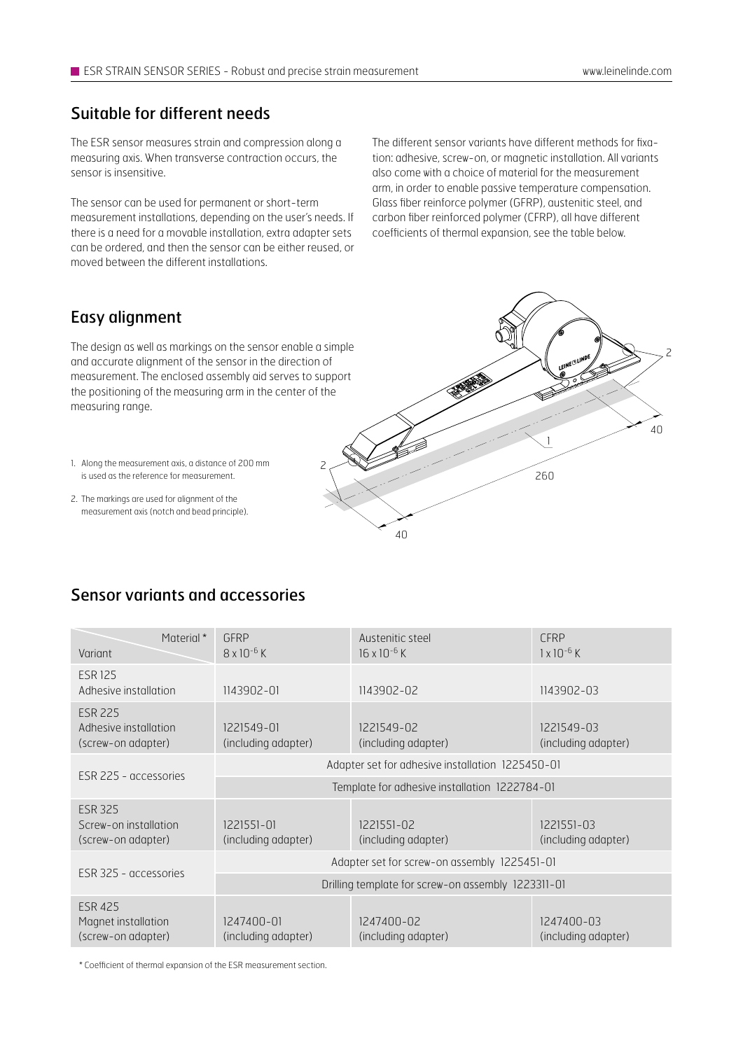#### Suitable for different needs

The ESR sensor measures strain and compression along a measuring axis. When transverse contraction occurs, the sensor is insensitive.

The sensor can be used for permanent or short-term measurement installations, depending on the user's needs. If there is a need for a movable installation, extra adapter sets can be ordered, and then the sensor can be either reused, or moved between the different installations.

The different sensor variants have different methods for fixation: adhesive, screw-on, or magnetic installation. All variants also come with a choice of material for the measurement arm, in order to enable passive temperature compensation. Glass fiber reinforce polymer (GFRP), austenitic steel, and carbon fiber reinforced polymer (CFRP), all have different coefficients of thermal expansion, see the table below.

### Easy alignment

The design as well as markings on the sensor enable a simple and accurate alignment of the sensor in the direction of measurement. The enclosed assembly aid serves to support the positioning of the measuring arm in the center of the measuring range.



- 1. Along the measurement axis, a distance of 200 mm is used as the reference for measurement.
- 2. The markings are used for alignment of the measurement axis (notch and bead principle).

## Sensor variants and accessories

| Material *<br>Variant                                         | GFRP<br>$8 \times 10^{-6}$ K                       | Austenitic steel<br>$16 \times 10^{-6}$ K | <b>CFRP</b><br>$1 \times 10^{-6}$ K |  |
|---------------------------------------------------------------|----------------------------------------------------|-------------------------------------------|-------------------------------------|--|
| <b>ESR 125</b><br>Adhesive installation                       | 1143902-01                                         | 1143902-02                                | 1143902-03                          |  |
| <b>ESR 225</b><br>Adhesive installation<br>(screw-on adapter) | 1221549-01<br>(including adapter)                  | 1221549-02<br>(including adapter)         | 1221549-03<br>(including adapter)   |  |
| ESR 225 - accessories                                         | Adapter set for adhesive installation 1225450-01   |                                           |                                     |  |
|                                                               | Template for adhesive installation 1222784-01      |                                           |                                     |  |
| <b>ESR 325</b><br>Screw-on installation<br>(screw-on adapter) | 1221551-01<br>(including adapter)                  | 1221551-02<br>(including adapter)         | 1221551-03<br>(including adapter)   |  |
| ESR 325 - accessories                                         | Adapter set for screw-on assembly 1225451-01       |                                           |                                     |  |
|                                                               | Drilling template for screw-on assembly 1223311-01 |                                           |                                     |  |
| <b>ESR 425</b><br>Magnet installation<br>(screw-on adapter)   | 1247400-01<br>(including adapter)                  | 1247400-02<br>(including adapter)         | 1247400-03<br>(including adapter)   |  |

2

\* Coefficient of thermal expansion of the ESR measurement section.